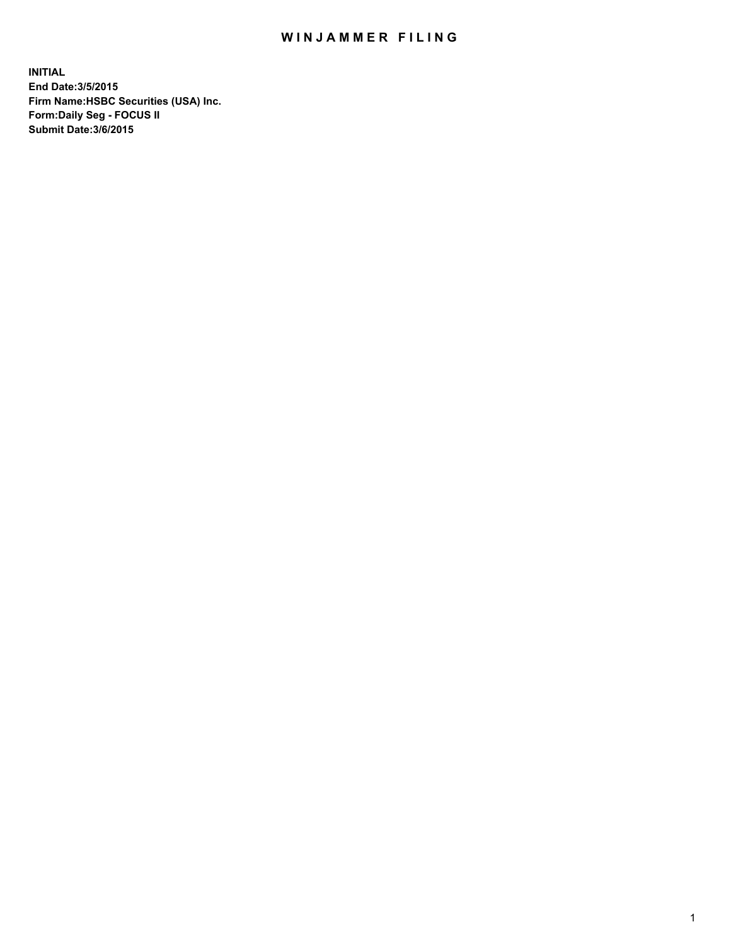## WIN JAMMER FILING

**INITIAL End Date:3/5/2015 Firm Name:HSBC Securities (USA) Inc. Form:Daily Seg - FOCUS II Submit Date:3/6/2015**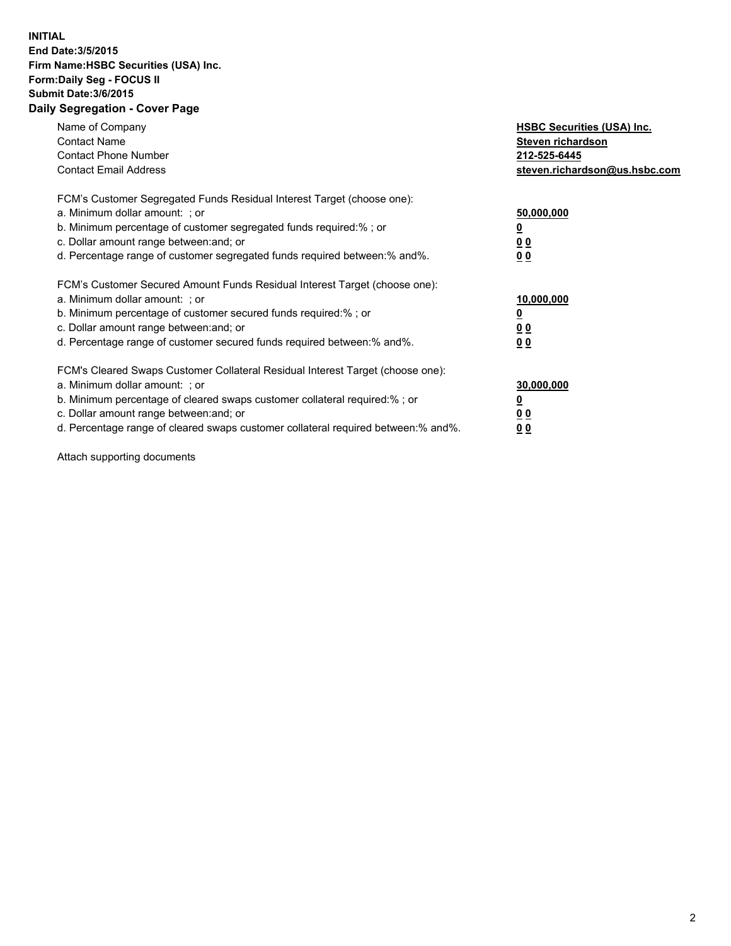## **INITIAL End Date:3/5/2015 Firm Name:HSBC Securities (USA) Inc. Form:Daily Seg - FOCUS II Submit Date:3/6/2015 Daily Segregation - Cover Page**

| Name of Company<br><b>Contact Name</b><br><b>Contact Phone Number</b><br><b>Contact Email Address</b>                                                                                                                                                                                                                         | <b>HSBC Securities (USA) Inc.</b><br>Steven richardson<br>212-525-6445<br>steven.richardson@us.hsbc.com |
|-------------------------------------------------------------------------------------------------------------------------------------------------------------------------------------------------------------------------------------------------------------------------------------------------------------------------------|---------------------------------------------------------------------------------------------------------|
| FCM's Customer Segregated Funds Residual Interest Target (choose one):<br>a. Minimum dollar amount: ; or<br>b. Minimum percentage of customer segregated funds required:% ; or<br>c. Dollar amount range between: and; or<br>d. Percentage range of customer segregated funds required between: % and %.                      | 50,000,000<br>0 <sub>0</sub><br>00                                                                      |
| FCM's Customer Secured Amount Funds Residual Interest Target (choose one):<br>a. Minimum dollar amount: ; or<br>b. Minimum percentage of customer secured funds required:%; or<br>c. Dollar amount range between: and; or<br>d. Percentage range of customer secured funds required between: % and %.                         | 10,000,000<br>00<br>00                                                                                  |
| FCM's Cleared Swaps Customer Collateral Residual Interest Target (choose one):<br>a. Minimum dollar amount: ; or<br>b. Minimum percentage of cleared swaps customer collateral required:%; or<br>c. Dollar amount range between: and; or<br>d. Percentage range of cleared swaps customer collateral required between:% and%. | 30,000,000<br>0 <sub>0</sub><br>00                                                                      |

Attach supporting documents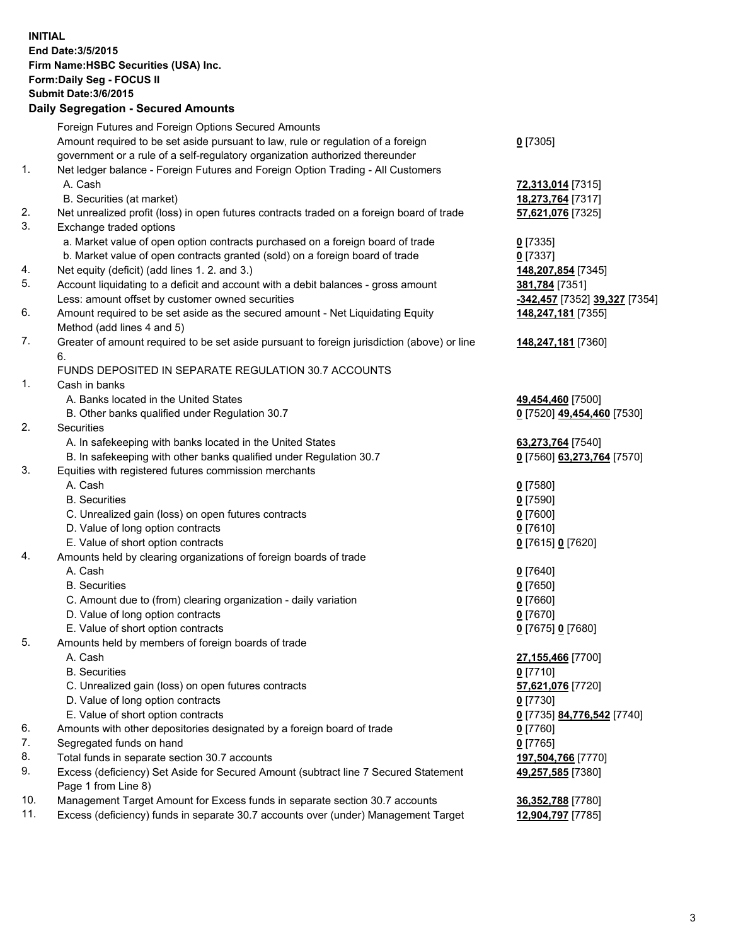**INITIAL End Date:3/5/2015 Firm Name:HSBC Securities (USA) Inc. Form:Daily Seg - FOCUS II Submit Date:3/6/2015 Daily Segregation - Secured Amounts** Foreign Futures and Foreign Options Secured Amounts Amount required to be set aside pursuant to law, rule or regulation of a foreign government or a rule of a self-regulatory organization authorized thereunder **0** [7305] 1. Net ledger balance - Foreign Futures and Foreign Option Trading - All Customers A. Cash **72,313,014** [7315] B. Securities (at market) **18,273,764** [7317] 2. Net unrealized profit (loss) in open futures contracts traded on a foreign board of trade **57,621,076** [7325] 3. Exchange traded options a. Market value of open option contracts purchased on a foreign board of trade **0** [7335] b. Market value of open contracts granted (sold) on a foreign board of trade **0** [7337] 4. Net equity (deficit) (add lines 1. 2. and 3.) **148,207,854** [7345] 5. Account liquidating to a deficit and account with a debit balances - gross amount **381,784** [7351] Less: amount offset by customer owned securities **-342,457** [7352] **39,327** [7354] 6. Amount required to be set aside as the secured amount - Net Liquidating Equity Method (add lines 4 and 5) **148,247,181** [7355] 7. Greater of amount required to be set aside pursuant to foreign jurisdiction (above) or line 6. **148,247,181** [7360] FUNDS DEPOSITED IN SEPARATE REGULATION 30.7 ACCOUNTS 1. Cash in banks A. Banks located in the United States **49,454,460** [7500] B. Other banks qualified under Regulation 30.7 **0** [7520] **49,454,460** [7530] 2. Securities A. In safekeeping with banks located in the United States **63,273,764** [7540] B. In safekeeping with other banks qualified under Regulation 30.7 **0** [7560] **63,273,764** [7570] 3. Equities with registered futures commission merchants A. Cash **0** [7580] B. Securities **0** [7590] C. Unrealized gain (loss) on open futures contracts **0** [7600] D. Value of long option contracts **0** [7610] E. Value of short option contracts **0** [7615] **0** [7620] 4. Amounts held by clearing organizations of foreign boards of trade A. Cash **0** [7640] B. Securities **0** [7650] C. Amount due to (from) clearing organization - daily variation **0** [7660] D. Value of long option contracts **0** [7670] E. Value of short option contracts **0** [7675] **0** [7680] 5. Amounts held by members of foreign boards of trade A. Cash **27,155,466** [7700] B. Securities **0** [7710] C. Unrealized gain (loss) on open futures contracts **57,621,076** [7720] D. Value of long option contracts **0** [7730] E. Value of short option contracts **0** [7735] **84,776,542** [7740] 6. Amounts with other depositories designated by a foreign board of trade **0** [7760] 7. Segregated funds on hand **0** [7765] 8. Total funds in separate section 30.7 accounts **197,504,766** [7770] 9. Excess (deficiency) Set Aside for Secured Amount (subtract line 7 Secured Statement Page 1 from Line 8) **49,257,585** [7380] 10. Management Target Amount for Excess funds in separate section 30.7 accounts **36,352,788** [7780]

11. Excess (deficiency) funds in separate 30.7 accounts over (under) Management Target **12,904,797** [7785]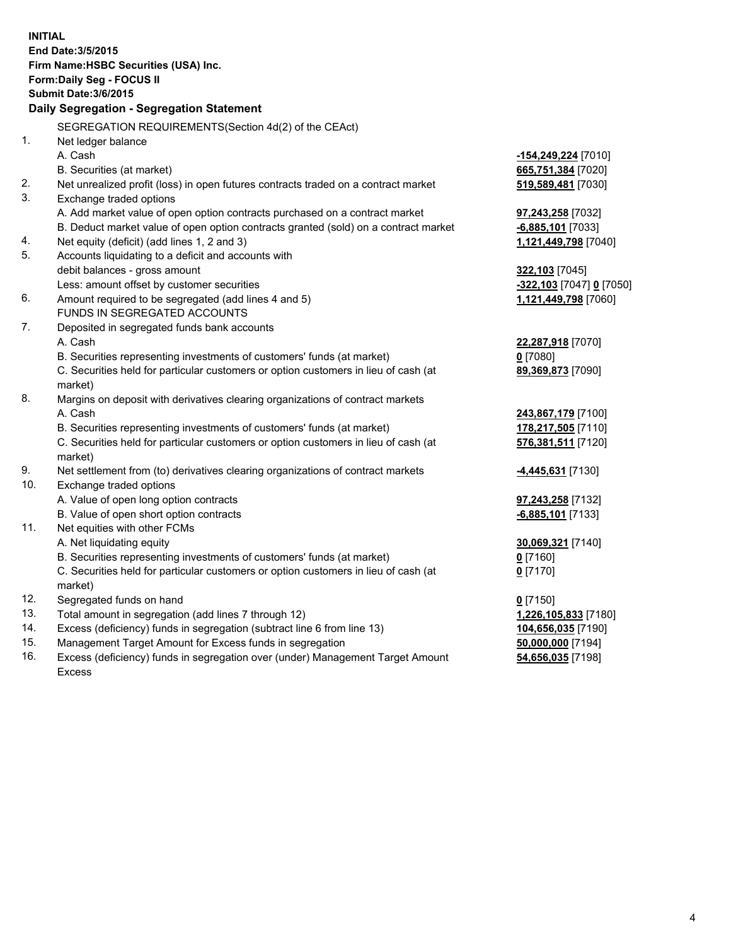| <b>INITIAL</b>                  | End Date: 3/5/2015<br>Firm Name: HSBC Securities (USA) Inc.<br>Form: Daily Seg - FOCUS II<br><b>Submit Date: 3/6/2015</b><br>Daily Segregation - Segregation Statement<br>SEGREGATION REQUIREMENTS(Section 4d(2) of the CEAct)                                                                                             |                                                                                                    |
|---------------------------------|----------------------------------------------------------------------------------------------------------------------------------------------------------------------------------------------------------------------------------------------------------------------------------------------------------------------------|----------------------------------------------------------------------------------------------------|
| 1.                              | Net ledger balance<br>A. Cash<br>B. Securities (at market)                                                                                                                                                                                                                                                                 | -154,249,224 [7010]<br>665,751,384 [7020]                                                          |
| 2.<br>3.                        | Net unrealized profit (loss) in open futures contracts traded on a contract market<br>Exchange traded options                                                                                                                                                                                                              | 519,589,481 [7030]                                                                                 |
| 4.                              | A. Add market value of open option contracts purchased on a contract market<br>B. Deduct market value of open option contracts granted (sold) on a contract market<br>Net equity (deficit) (add lines 1, 2 and 3)                                                                                                          | <b>97,243,258</b> [7032]<br>$-6,885,101$ [7033]<br>1,121,449,798 [7040]                            |
| 5.                              | Accounts liquidating to a deficit and accounts with<br>debit balances - gross amount<br>Less: amount offset by customer securities                                                                                                                                                                                         | 322,103 [7045]<br>-322,103 [7047] 0 [7050]                                                         |
| 6.                              | Amount required to be segregated (add lines 4 and 5)<br>FUNDS IN SEGREGATED ACCOUNTS                                                                                                                                                                                                                                       | 1,121,449,798 [7060]                                                                               |
| 7.                              | Deposited in segregated funds bank accounts<br>A. Cash<br>B. Securities representing investments of customers' funds (at market)<br>C. Securities held for particular customers or option customers in lieu of cash (at<br>market)                                                                                         | 22,287,918 [7070]<br>$0$ [7080]<br>89,369,873 [7090]                                               |
| 8.                              | Margins on deposit with derivatives clearing organizations of contract markets<br>A. Cash<br>B. Securities representing investments of customers' funds (at market)<br>C. Securities held for particular customers or option customers in lieu of cash (at<br>market)                                                      | 243,867,179 [7100]<br>178,217,505 [7110]<br>576,381,511 [7120]                                     |
| 9.<br>10.                       | Net settlement from (to) derivatives clearing organizations of contract markets<br>Exchange traded options<br>A. Value of open long option contracts                                                                                                                                                                       | <u>-4,445,631</u> [7130]<br>97,243,258 [7132]                                                      |
| 11.                             | B. Value of open short option contracts<br>Net equities with other FCMs<br>A. Net liquidating equity<br>B. Securities representing investments of customers' funds (at market)<br>C. Securities held for particular customers or option customers in lieu of cash (at<br>market)                                           | $-6,885,101$ [7133]<br>30,069,321 [7140]<br><u>0</u> [7160]<br>$0$ [7170]                          |
| 12.<br>13.<br>14.<br>15.<br>16. | Segregated funds on hand<br>Total amount in segregation (add lines 7 through 12)<br>Excess (deficiency) funds in segregation (subtract line 6 from line 13)<br>Management Target Amount for Excess funds in segregation<br>Excess (deficiency) funds in segregation over (under) Management Target Amount<br><b>Excess</b> | $0$ [7150]<br>1,226,105,833 [7180]<br>104,656,035 [7190]<br>50,000,000 [7194]<br>54,656,035 [7198] |